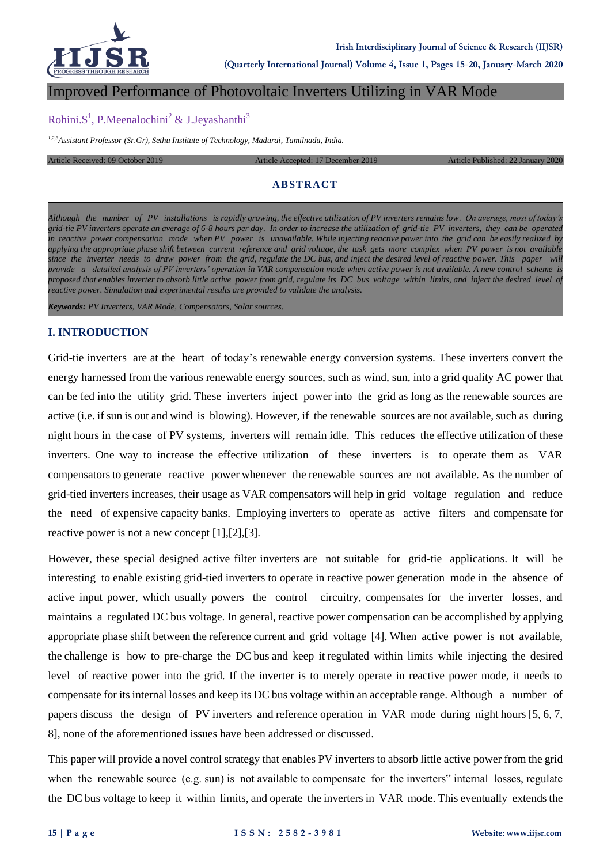

**(Quarterly International Journal) Volume 4, Issue 1, Pages 15-20, January-March 2020**

#### Improved Performance of Photovoltaic Inverters Utilizing in VAR Mode

## Rohini.S<sup>1</sup>, P.Meenalochini<sup>2</sup> & J.Jeyashanthi<sup>3</sup>

*1,2,3Assistant Professor (Sr.Gr), Sethu Institute of Technology, Madurai, Tamilnadu, India.*

Article Received: 09 October 2019 Article Accepted: 17 December 2019 Article Published: 22 January

#### **ABSTRACT**

*Although the number of PV installations is rapidly growing, the effective utilization of PV inverters remains low. On average, most of today's grid-tie PV inverters operate an average of 6-8 hours per day. In order to increase the utilization of grid-tie PV inverters, they can be operated in reactive power compensation mode when PV power is unavailable. While injecting reactive power into the grid can be easily realized by applying the appropriate phase shift between current reference and grid voltage, the task gets more complex when PV power is not available since the inverter needs to draw power from the grid, regulate the DC bus, and inject the desired level of reactive power. This paper will provide a detailed analysis of PV inverters' operation in VAR compensation mode when active power is not available. A new control scheme is proposed that enables inverter to absorb little active power from grid, regulate its DC bus voltage within limits, and inject the desired level of reactive power. Simulation and experimental results are provided to validate the analysis.*

*Keywords: PV Inverters, VAR Mode, Compensators, Solar sources.*

#### **I. INTRODUCTION**

Grid-tie inverters are at the heart of today's renewable energy conversion systems. These inverters convert the energy harnessed from the various renewable energy sources, such as wind, sun, into a grid quality AC power that can be fed into the utility grid. These inverters inject power into the grid as long as the renewable sources are active (i.e. if sun is out and wind is blowing). However, if the renewable sources are not available, such as during night hours in the case of PV systems, inverters will remain idle. This reduces the effective utilization of these inverters. One way to increase the effective utilization of these inverters is to operate them as VAR compensators to generate reactive power whenever the renewable sources are not available. As the number of grid-tied inverters increases, their usage as VAR compensators will help in grid voltage regulation and reduce the need of expensive capacity banks. Employing inverters to operate as active filters and compensate for reactive power is not a new concept [1],[2],[3].

However, these special designed active filter inverters are not suitable for grid-tie applications. It will be interesting to enable existing grid-tied inverters to operate in reactive power generation mode in the absence of active input power, which usually powers the control circuitry, compensates for the inverter losses, and maintains a regulated DC bus voltage. In general, reactive power compensation can be accomplished by applying appropriate phase shift between the reference current and grid voltage [4]. When active power is not available, the challenge is how to pre-charge the DC bus and keep it regulated within limits while injecting the desired level of reactive power into the grid. If the inverter is to merely operate in reactive power mode, it needs to compensate for its internal losses and keep its DC bus voltage within an acceptable range. Although a number of papers discuss the design of PV inverters and reference operation in VAR mode during night hours [5, 6, 7, 8], none of the aforementioned issues have been addressed or discussed.

This paper will provide a novel control strategy that enables PV inverters to absorb little active power from the grid when the renewable source (e.g. sun) is not available to compensate for the inverters" internal losses, regulate the DC bus voltage to keep it within limits, and operate the inverters in VAR mode. This eventually extends the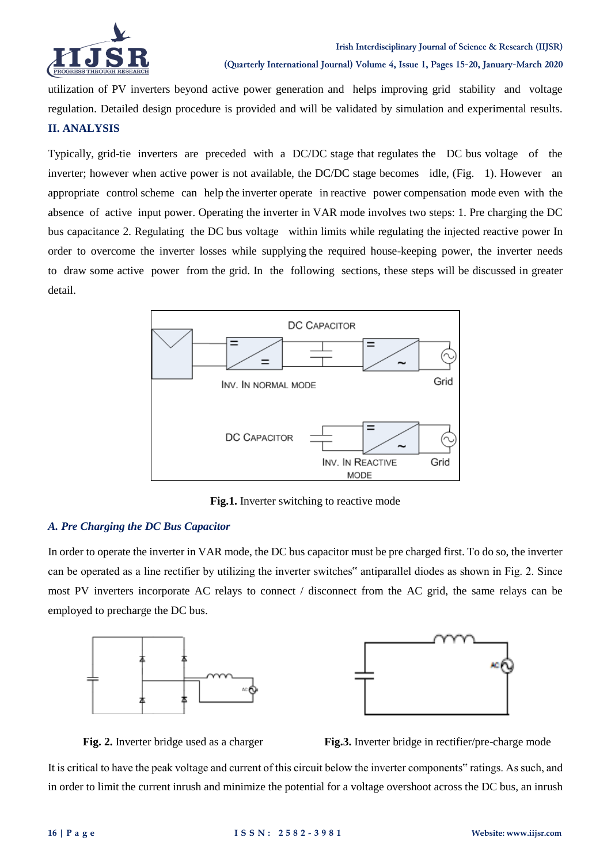

utilization of PV inverters beyond active power generation and helps improving grid stability and voltage

regulation. Detailed design procedure is provided and will be validated by simulation and experimental results.

# **II. ANALYSIS**

Typically, grid-tie inverters are preceded with a DC/DC stage that regulates the DC bus voltage of the inverter; however when active power is not available, the DC/DC stage becomes idle, (Fig. 1). However an appropriate control scheme can help the inverter operate in reactive power compensation mode even with the absence of active input power. Operating the inverter in VAR mode involves two steps: 1. Pre charging the DC bus capacitance 2. Regulating the DC bus voltage within limits while regulating the injected reactive power In order to overcome the inverter losses while supplying the required house-keeping power, the inverter needs to draw some active power from the grid. In the following sections, these steps will be discussed in greater detail.



**Fig.1.** Inverter switching to reactive mode

## *A. Pre Charging the DC Bus Capacitor*

In order to operate the inverter in VAR mode, the DC bus capacitor must be pre charged first. To do so, the inverter can be operated as a line rectifier by utilizing the inverter switches" antiparallel diodes as shown in Fig. 2. Since most PV inverters incorporate AC relays to connect / disconnect from the AC grid, the same relays can be employed to precharge the DC bus.





**Fig. 2.** Inverter bridge used as a charger **Fig. 3.** Inverter bridge in rectifier/pre-charge mode

It is critical to have the peak voltage and current of this circuit below the inverter components" ratings. As such, and in order to limit the current inrush and minimize the potential for a voltage overshoot across the DC bus, an inrush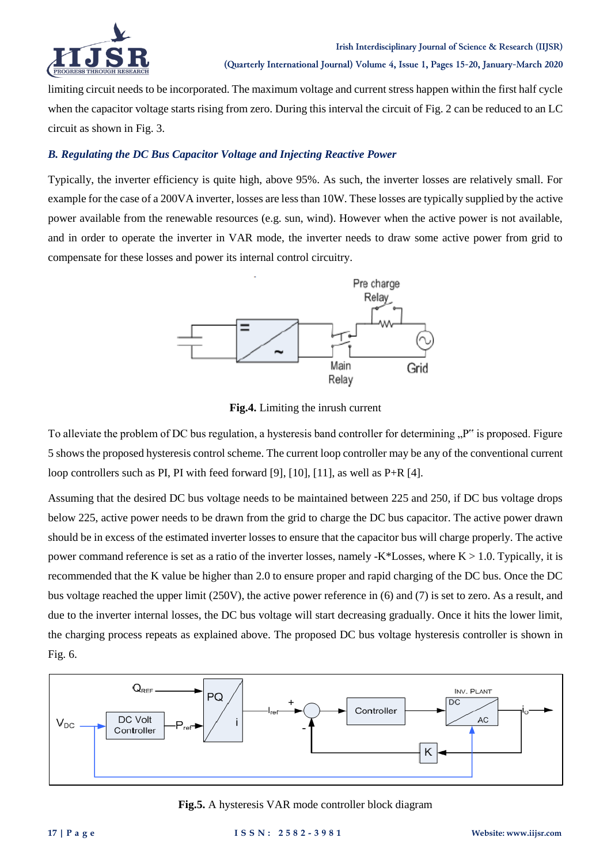

limiting circuit needs to be incorporated. The maximum voltage and current stress happen within the first half cycle when the capacitor voltage starts rising from zero. During this interval the circuit of Fig. 2 can be reduced to an LC circuit as shown in Fig. 3.

# *B. Regulating the DC Bus Capacitor Voltage and Injecting Reactive Power*

Typically, the inverter efficiency is quite high, above 95%. As such, the inverter losses are relatively small. For example for the case of a 200VA inverter, losses are less than 10W. These losses are typically supplied by the active power available from the renewable resources (e.g. sun, wind). However when the active power is not available, and in order to operate the inverter in VAR mode, the inverter needs to draw some active power from grid to compensate for these losses and power its internal control circuitry.



**Fig.4.** Limiting the inrush current

To alleviate the problem of DC bus regulation, a hysteresis band controller for determining <sub>n</sub><sup>p\*</sup> is proposed. Figure 5 shows the proposed hysteresis control scheme. The current loop controller may be any of the conventional current loop controllers such as PI, PI with feed forward [9], [10], [11], as well as P+R [4].

Assuming that the desired DC bus voltage needs to be maintained between 225 and 250, if DC bus voltage drops below 225, active power needs to be drawn from the grid to charge the DC bus capacitor. The active power drawn should be in excess of the estimated inverter losses to ensure that the capacitor bus will charge properly. The active power command reference is set as a ratio of the inverter losses, namely -K\*Losses, where  $K > 1.0$ . Typically, it is recommended that the K value be higher than 2.0 to ensure proper and rapid charging of the DC bus. Once the DC bus voltage reached the upper limit (250V), the active power reference in (6) and (7) is set to zero. As a result, and due to the inverter internal losses, the DC bus voltage will start decreasing gradually. Once it hits the lower limit, the charging process repeats as explained above. The proposed DC bus voltage hysteresis controller is shown in Fig. 6.



**Fig.5.** A hysteresis VAR mode controller block diagram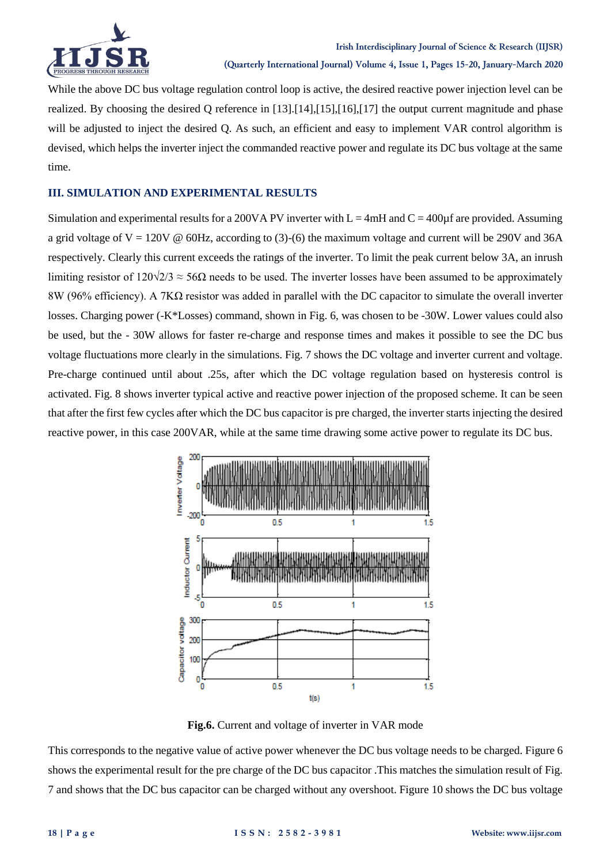

While the above DC bus voltage regulation control loop is active, the desired reactive power injection level can be realized. By choosing the desired Q reference in [13].[14],[15],[16],[17] the output current magnitude and phase will be adjusted to inject the desired Q. As such, an efficient and easy to implement VAR control algorithm is devised, which helps the inverter inject the commanded reactive power and regulate its DC bus voltage at the same time.

## **III. SIMULATION AND EXPERIMENTAL RESULTS**

Simulation and experimental results for a 200VA PV inverter with  $L = 4mH$  and  $C = 400\mu$  fare provided. Assuming a grid voltage of  $V = 120V \& 60Hz$ , according to (3)-(6) the maximum voltage and current will be 290V and 36A respectively. Clearly this current exceeds the ratings of the inverter. To limit the peak current below 3A, an inrush limiting resistor of  $120\sqrt{2}/3 \approx 56\Omega$  needs to be used. The inverter losses have been assumed to be approximately 8W (96% efficiency). A 7KΩ resistor was added in parallel with the DC capacitor to simulate the overall inverter losses. Charging power (-K\*Losses) command, shown in Fig. 6, was chosen to be -30W. Lower values could also be used, but the - 30W allows for faster re-charge and response times and makes it possible to see the DC bus voltage fluctuations more clearly in the simulations. Fig. 7 shows the DC voltage and inverter current and voltage. Pre-charge continued until about .25s, after which the DC voltage regulation based on hysteresis control is activated. Fig. 8 shows inverter typical active and reactive power injection of the proposed scheme. It can be seen that after the first few cycles after which the DC bus capacitor is pre charged, the inverter starts injecting the desired reactive power, in this case 200VAR, while at the same time drawing some active power to regulate its DC bus.



**Fig.6.** Current and voltage of inverter in VAR mode

This corresponds to the negative value of active power whenever the DC bus voltage needs to be charged. Figure 6 shows the experimental result for the pre charge of the DC bus capacitor .This matches the simulation result of Fig. 7 and shows that the DC bus capacitor can be charged without any overshoot. Figure 10 shows the DC bus voltage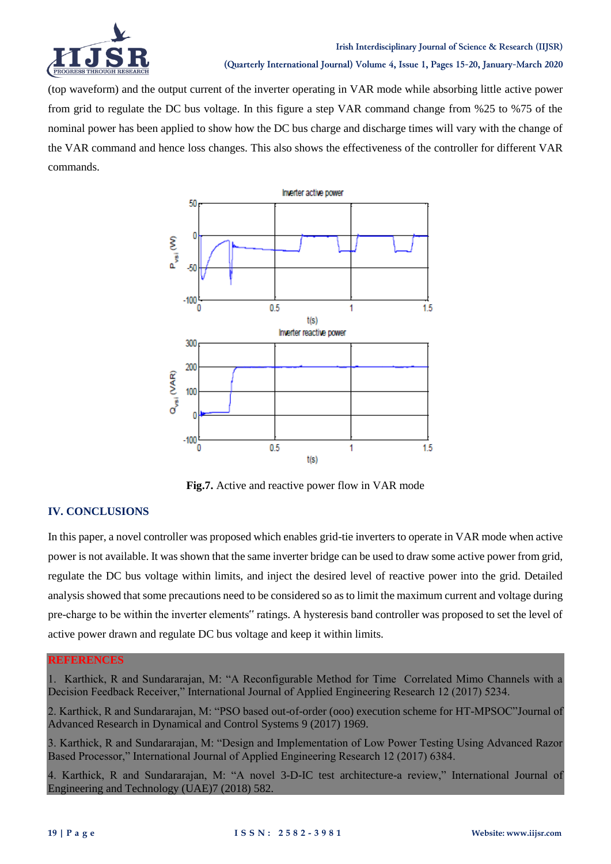

(top waveform) and the output current of the inverter operating in VAR mode while absorbing little active power from grid to regulate the DC bus voltage. In this figure a step VAR command change from %25 to %75 of the nominal power has been applied to show how the DC bus charge and discharge times will vary with the change of the VAR command and hence loss changes. This also shows the effectiveness of the controller for different VAR commands.



**Fig.7.** Active and reactive power flow in VAR mode

## **IV. CONCLUSIONS**

In this paper, a novel controller was proposed which enables grid-tie inverters to operate in VAR mode when active power is not available. It was shown that the same inverter bridge can be used to draw some active power from grid, regulate the DC bus voltage within limits, and inject the desired level of reactive power into the grid. Detailed analysis showed that some precautions need to be considered so as to limit the maximum current and voltage during pre-charge to be within the inverter elements" ratings. A hysteresis band controller was proposed to set the level of active power drawn and regulate DC bus voltage and keep it within limits.

#### **REFERENCES**

1. Karthick, R and Sundararajan, M: "A Reconfigurable Method for Time Correlated Mimo Channels with a Decision Feedback Receiver," International Journal of Applied Engineering Research 12 (2017) 5234.

2. Karthick, R and Sundararajan, M: "PSO based out-of-order (ooo) execution scheme for HT-MPSOC"Journal of Advanced Research in Dynamical and Control Systems 9 (2017) 1969.

3. Karthick, R and Sundararajan, M: "Design and Implementation of Low Power Testing Using Advanced Razor Based Processor," International Journal of Applied Engineering Research 12 (2017) 6384.

4. Karthick, R and Sundararajan, M: "A novel 3-D-IC test architecture-a review," International Journal of Engineering and Technology (UAE)7 (2018) 582.